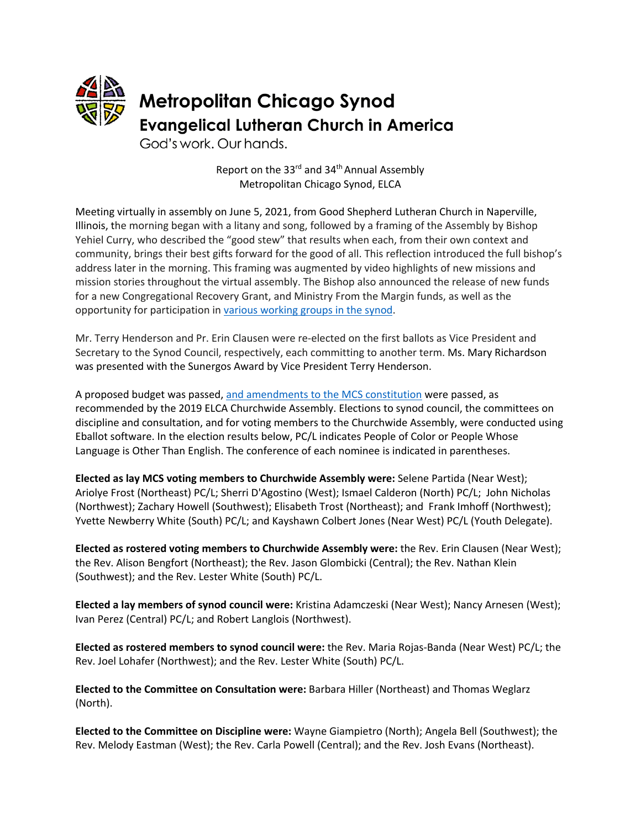

Report on the 33<sup>rd</sup> and 34<sup>th</sup> Annual Assembly Metropolitan Chicago Synod, ELCA

Meeting virtually in assembly on June 5, 2021, from Good Shepherd Lutheran Church in Naperville, Illinois, the morning began with a litany and song, followed by a framing of the Assembly by Bishop Yehiel Curry, who described the "good stew" that results when each, from their own context and community, brings their best gifts forward for the good of all. This reflection introduced the full bishop's address later in the morning. This framing was augmented by video highlights of new missions and mission stories throughout the virtual assembly. The Bishop also announced the release of new funds for a new Congregational Recovery Grant, and Ministry From the Margin funds, as well as the opportunity for participation in various working groups in the synod.

Mr. Terry Henderson and Pr. Erin Clausen were re-elected on the first ballots as Vice President and Secretary to the Synod Council, respectively, each committing to another term. Ms. Mary Richardson was presented with the Sunergos Award by Vice President Terry Henderson.

A proposed budget was passed, and amendments to the MCS constitution were passed, as recommended by the 2019 ELCA Churchwide Assembly. Elections to synod council, the committees on discipline and consultation, and for voting members to the Churchwide Assembly, were conducted using Eballot software. In the election results below, PC/L indicates People of Color or People Whose Language is Other Than English. The conference of each nominee is indicated in parentheses.

**Elected as lay MCS voting members to Churchwide Assembly were:** Selene Partida (Near West); Ariolye Frost (Northeast) PC/L; Sherri D'Agostino (West); Ismael Calderon (North) PC/L; John Nicholas (Northwest); Zachary Howell (Southwest); Elisabeth Trost (Northeast); and Frank Imhoff (Northwest); Yvette Newberry White (South) PC/L; and Kayshawn Colbert Jones (Near West) PC/L (Youth Delegate).

**Elected as rostered voting members to Churchwide Assembly were:** the Rev. Erin Clausen (Near West); the Rev. Alison Bengfort (Northeast); the Rev. Jason Glombicki (Central); the Rev. Nathan Klein (Southwest); and the Rev. Lester White (South) PC/L.

**Elected a lay members of synod council were:** Kristina Adamczeski (Near West); Nancy Arnesen (West); Ivan Perez (Central) PC/L; and Robert Langlois (Northwest).

**Elected as rostered members to synod council were:** the Rev. Maria Rojas-Banda (Near West) PC/L; the Rev. Joel Lohafer (Northwest); and the Rev. Lester White (South) PC/L.

**Elected to the Committee on Consultation were:** Barbara Hiller (Northeast) and Thomas Weglarz (North).

**Elected to the Committee on Discipline were:** Wayne Giampietro (North); Angela Bell (Southwest); the Rev. Melody Eastman (West); the Rev. Carla Powell (Central); and the Rev. Josh Evans (Northeast).